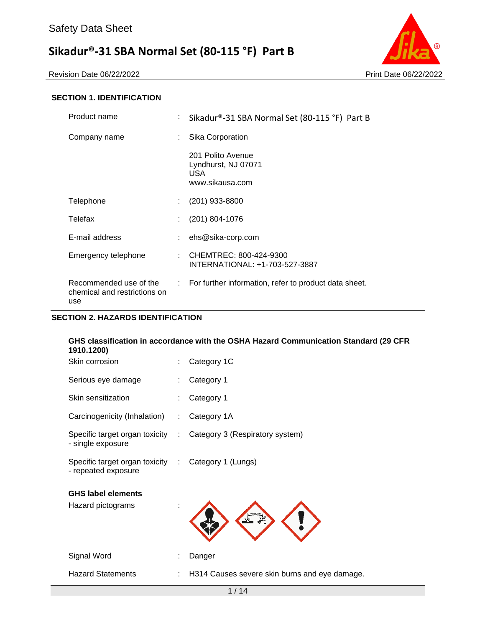Revision Date 06/22/2022 Print Date 06/22/2022



### **SECTION 1. IDENTIFICATION**

| Product name                                                  | t. | Sikadur®-31 SBA Normal Set (80-115 °F) Part B                      |
|---------------------------------------------------------------|----|--------------------------------------------------------------------|
| Company name                                                  | ÷  | Sika Corporation                                                   |
|                                                               |    | 201 Polito Avenue<br>Lyndhurst, NJ 07071<br>USA<br>www.sikausa.com |
| Telephone                                                     |    | $(201)$ 933-8800                                                   |
| Telefax                                                       |    | $(201)$ 804-1076                                                   |
| E-mail address                                                |    | ehs@sika-corp.com                                                  |
| Emergency telephone                                           |    | : CHEMTREC: 800-424-9300<br>INTERNATIONAL: +1-703-527-3887         |
| Recommended use of the<br>chemical and restrictions on<br>use |    | : For further information, refer to product data sheet.            |

#### **SECTION 2. HAZARDS IDENTIFICATION**

| GHS classification in accordance with the OSHA Hazard Communication Standard (29 CFR<br>1910.1200) |                               |                                                                  |
|----------------------------------------------------------------------------------------------------|-------------------------------|------------------------------------------------------------------|
| Skin corrosion                                                                                     |                               | Category 1C                                                      |
| Serious eye damage                                                                                 |                               | Category 1                                                       |
| Skin sensitization                                                                                 |                               | Category 1                                                       |
| Carcinogenicity (Inhalation)                                                                       | $\mathcal{L}^{\mathcal{L}}$ . | Category 1A                                                      |
| - single exposure                                                                                  |                               | Specific target organ toxicity : Category 3 (Respiratory system) |
| Specific target organ toxicity : Category 1 (Lungs)<br>- repeated exposure                         |                               |                                                                  |
| <b>GHS label elements</b>                                                                          |                               |                                                                  |

Hazard pictograms :

Signal Word : Danger

Hazard Statements : H314 Causes severe skin burns and eye damage.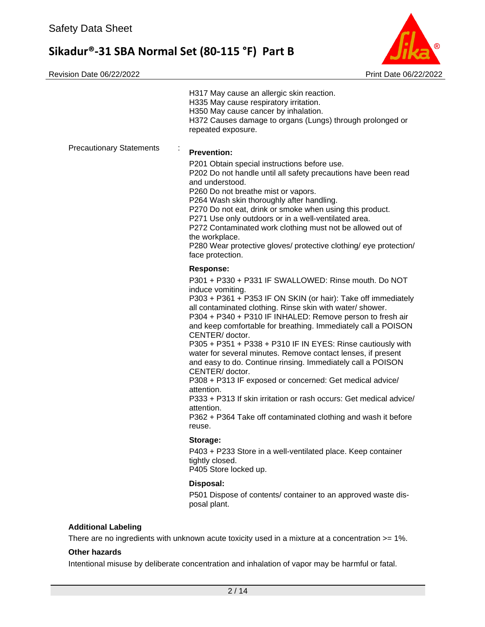

| <b>Precautionary Statements</b><br>÷<br><b>Prevention:</b><br>P201 Obtain special instructions before use.<br>P202 Do not handle until all safety precautions have been read<br>and understood.<br>P260 Do not breathe mist or vapors.<br>P264 Wash skin thoroughly after handling.<br>P270 Do not eat, drink or smoke when using this product.<br>P271 Use only outdoors or in a well-ventilated area.<br>P272 Contaminated work clothing must not be allowed out of<br>the workplace.<br>P280 Wear protective gloves/ protective clothing/ eye protection/<br>face protection.<br><b>Response:</b><br>P301 + P330 + P331 IF SWALLOWED: Rinse mouth, Do NOT<br>induce vomiting.<br>P303 + P361 + P353 IF ON SKIN (or hair): Take off immediately<br>all contaminated clothing. Rinse skin with water/ shower.<br>P304 + P340 + P310 IF INHALED: Remove person to fresh air<br>and keep comfortable for breathing. Immediately call a POISON<br>CENTER/doctor.<br>P305 + P351 + P338 + P310 IF IN EYES: Rinse cautiously with<br>water for several minutes. Remove contact lenses, if present<br>and easy to do. Continue rinsing. Immediately call a POISON<br>CENTER/doctor.<br>P308 + P313 IF exposed or concerned: Get medical advice/<br>attention.<br>P333 + P313 If skin irritation or rash occurs: Get medical advice/<br>attention.<br>P362 + P364 Take off contaminated clothing and wash it before<br>reuse.<br>Storage:<br>P403 + P233 Store in a well-ventilated place. Keep container<br>tightly closed.<br>P405 Store locked up.<br>Disposal:<br>P501 Dispose of contents/ container to an approved waste dis-<br>posal plant.<br><b>Additional Labeling</b><br>There are no ingredients with unknown acute toxicity used in a mixture at a concentration >= 1%. | H317 May cause an allergic skin reaction.<br>H335 May cause respiratory irritation.<br>H350 May cause cancer by inhalation.<br>H372 Causes damage to organs (Lungs) through prolonged or<br>repeated exposure. |  |  |  |
|---------------------------------------------------------------------------------------------------------------------------------------------------------------------------------------------------------------------------------------------------------------------------------------------------------------------------------------------------------------------------------------------------------------------------------------------------------------------------------------------------------------------------------------------------------------------------------------------------------------------------------------------------------------------------------------------------------------------------------------------------------------------------------------------------------------------------------------------------------------------------------------------------------------------------------------------------------------------------------------------------------------------------------------------------------------------------------------------------------------------------------------------------------------------------------------------------------------------------------------------------------------------------------------------------------------------------------------------------------------------------------------------------------------------------------------------------------------------------------------------------------------------------------------------------------------------------------------------------------------------------------------------------------------------------------------------------------------------------------------------------------------------------------|----------------------------------------------------------------------------------------------------------------------------------------------------------------------------------------------------------------|--|--|--|
|                                                                                                                                                                                                                                                                                                                                                                                                                                                                                                                                                                                                                                                                                                                                                                                                                                                                                                                                                                                                                                                                                                                                                                                                                                                                                                                                                                                                                                                                                                                                                                                                                                                                                                                                                                                 |                                                                                                                                                                                                                |  |  |  |
|                                                                                                                                                                                                                                                                                                                                                                                                                                                                                                                                                                                                                                                                                                                                                                                                                                                                                                                                                                                                                                                                                                                                                                                                                                                                                                                                                                                                                                                                                                                                                                                                                                                                                                                                                                                 |                                                                                                                                                                                                                |  |  |  |
|                                                                                                                                                                                                                                                                                                                                                                                                                                                                                                                                                                                                                                                                                                                                                                                                                                                                                                                                                                                                                                                                                                                                                                                                                                                                                                                                                                                                                                                                                                                                                                                                                                                                                                                                                                                 |                                                                                                                                                                                                                |  |  |  |
|                                                                                                                                                                                                                                                                                                                                                                                                                                                                                                                                                                                                                                                                                                                                                                                                                                                                                                                                                                                                                                                                                                                                                                                                                                                                                                                                                                                                                                                                                                                                                                                                                                                                                                                                                                                 |                                                                                                                                                                                                                |  |  |  |
|                                                                                                                                                                                                                                                                                                                                                                                                                                                                                                                                                                                                                                                                                                                                                                                                                                                                                                                                                                                                                                                                                                                                                                                                                                                                                                                                                                                                                                                                                                                                                                                                                                                                                                                                                                                 |                                                                                                                                                                                                                |  |  |  |
|                                                                                                                                                                                                                                                                                                                                                                                                                                                                                                                                                                                                                                                                                                                                                                                                                                                                                                                                                                                                                                                                                                                                                                                                                                                                                                                                                                                                                                                                                                                                                                                                                                                                                                                                                                                 |                                                                                                                                                                                                                |  |  |  |
|                                                                                                                                                                                                                                                                                                                                                                                                                                                                                                                                                                                                                                                                                                                                                                                                                                                                                                                                                                                                                                                                                                                                                                                                                                                                                                                                                                                                                                                                                                                                                                                                                                                                                                                                                                                 |                                                                                                                                                                                                                |  |  |  |
|                                                                                                                                                                                                                                                                                                                                                                                                                                                                                                                                                                                                                                                                                                                                                                                                                                                                                                                                                                                                                                                                                                                                                                                                                                                                                                                                                                                                                                                                                                                                                                                                                                                                                                                                                                                 |                                                                                                                                                                                                                |  |  |  |
|                                                                                                                                                                                                                                                                                                                                                                                                                                                                                                                                                                                                                                                                                                                                                                                                                                                                                                                                                                                                                                                                                                                                                                                                                                                                                                                                                                                                                                                                                                                                                                                                                                                                                                                                                                                 |                                                                                                                                                                                                                |  |  |  |
|                                                                                                                                                                                                                                                                                                                                                                                                                                                                                                                                                                                                                                                                                                                                                                                                                                                                                                                                                                                                                                                                                                                                                                                                                                                                                                                                                                                                                                                                                                                                                                                                                                                                                                                                                                                 |                                                                                                                                                                                                                |  |  |  |
|                                                                                                                                                                                                                                                                                                                                                                                                                                                                                                                                                                                                                                                                                                                                                                                                                                                                                                                                                                                                                                                                                                                                                                                                                                                                                                                                                                                                                                                                                                                                                                                                                                                                                                                                                                                 |                                                                                                                                                                                                                |  |  |  |

#### **Other hazards**

Intentional misuse by deliberate concentration and inhalation of vapor may be harmful or fatal.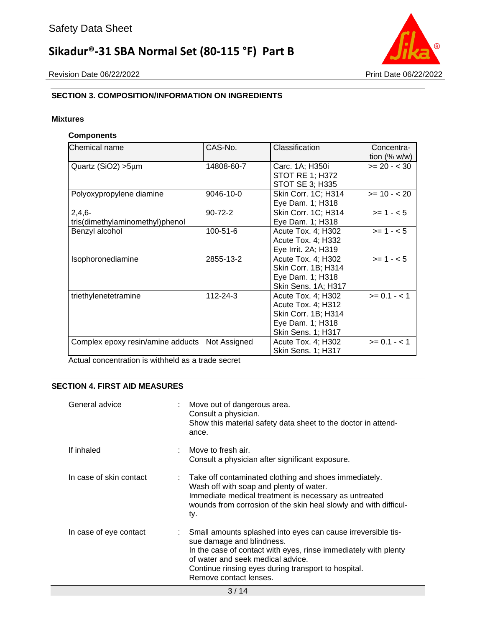

### **SECTION 3. COMPOSITION/INFORMATION ON INGREDIENTS**

#### **Mixtures**

#### **Components**

| Chemical name                               | CAS-No.        | Classification                                                                                            | Concentra-<br>tion $(\% w/w)$ |
|---------------------------------------------|----------------|-----------------------------------------------------------------------------------------------------------|-------------------------------|
| Quartz (SiO2) > 5µm                         | 14808-60-7     | Carc. 1A; H350i<br><b>STOT RE 1; H372</b><br>STOT SE 3; H335                                              | $>= 20 - < 30$                |
| Polyoxypropylene diamine                    | 9046-10-0      | Skin Corr. 1C; H314<br>Eye Dam. 1; H318                                                                   | $>= 10 - 20$                  |
| $2,4,6-$<br>tris(dimethylaminomethyl)phenol | $90 - 72 - 2$  | Skin Corr. 1C; H314<br>Eye Dam. 1; H318                                                                   | $>= 1 - 5$                    |
| Benzyl alcohol                              | $100 - 51 - 6$ | Acute Tox. 4; H302<br>Acute Tox. 4; H332<br>Eye Irrit. 2A; H319                                           | $>= 1 - 5$                    |
| Isophoronediamine                           | 2855-13-2      | Acute Tox. 4; H302<br>Skin Corr. 1B; H314<br>Eye Dam. 1; H318<br>Skin Sens. 1A; H317                      | $>= 1 - 5$                    |
| triethylenetetramine                        | 112-24-3       | Acute Tox. 4; H302<br>Acute Tox. 4; H312<br>Skin Corr. 1B; H314<br>Eye Dam. 1; H318<br>Skin Sens. 1; H317 | $>= 0.1 - 1$                  |
| Complex epoxy resin/amine adducts           | Not Assigned   | Acute Tox. 4; H302<br>Skin Sens. 1; H317                                                                  | $>= 0.1 - 1$                  |

Actual concentration is withheld as a trade secret

#### **SECTION 4. FIRST AID MEASURES**

| General advice          | Move out of dangerous area.<br>Consult a physician.<br>Show this material safety data sheet to the doctor in attend-<br>ance.                                                                                                                                                      |
|-------------------------|------------------------------------------------------------------------------------------------------------------------------------------------------------------------------------------------------------------------------------------------------------------------------------|
| If inhaled              | Move to fresh air.<br>Consult a physician after significant exposure.                                                                                                                                                                                                              |
| In case of skin contact | : Take off contaminated clothing and shoes immediately.<br>Wash off with soap and plenty of water.<br>Immediate medical treatment is necessary as untreated<br>wounds from corrosion of the skin heal slowly and with difficul-<br>ty.                                             |
| In case of eye contact  | Small amounts splashed into eyes can cause irreversible tis-<br>sue damage and blindness.<br>In the case of contact with eyes, rinse immediately with plenty<br>of water and seek medical advice.<br>Continue rinsing eyes during transport to hospital.<br>Remove contact lenses. |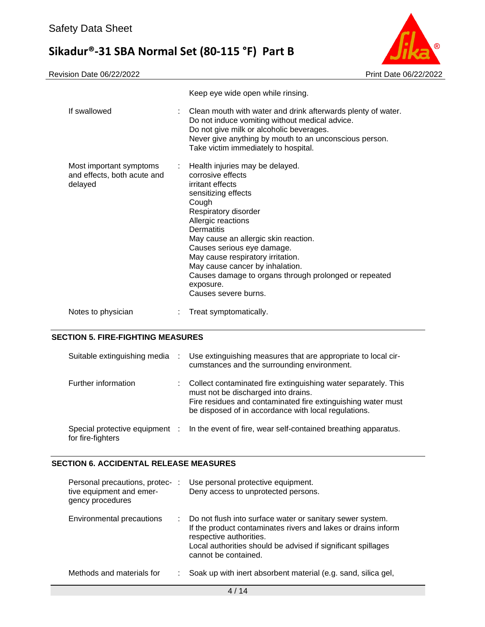

|                                                                   | Keep eye wide open while rinsing.                                                                                                                                                                                                                                                                                                                                                                                  |
|-------------------------------------------------------------------|--------------------------------------------------------------------------------------------------------------------------------------------------------------------------------------------------------------------------------------------------------------------------------------------------------------------------------------------------------------------------------------------------------------------|
| If swallowed                                                      | Clean mouth with water and drink afterwards plenty of water.<br>Do not induce vomiting without medical advice.<br>Do not give milk or alcoholic beverages.<br>Never give anything by mouth to an unconscious person.<br>Take victim immediately to hospital.                                                                                                                                                       |
| Most important symptoms<br>and effects, both acute and<br>delayed | : Health injuries may be delayed.<br>corrosive effects<br>irritant effects<br>sensitizing effects<br>Cough<br>Respiratory disorder<br>Allergic reactions<br>Dermatitis<br>May cause an allergic skin reaction.<br>Causes serious eye damage.<br>May cause respiratory irritation.<br>May cause cancer by inhalation.<br>Causes damage to organs through prolonged or repeated<br>exposure.<br>Causes severe burns. |
| Notes to physician                                                | Treat symptomatically.                                                                                                                                                                                                                                                                                                                                                                                             |

#### **SECTION 5. FIRE-FIGHTING MEASURES**

| Suitable extinguishing media | $\sim$ 100 $\sim$ | Use extinguishing measures that are appropriate to local cir-<br>cumstances and the surrounding environment.                                                                                                                  |
|------------------------------|-------------------|-------------------------------------------------------------------------------------------------------------------------------------------------------------------------------------------------------------------------------|
| Further information          |                   | Collect contaminated fire extinguishing water separately. This<br>must not be discharged into drains.<br>Fire residues and contaminated fire extinguishing water must<br>be disposed of in accordance with local regulations. |
| for fire-fighters            |                   | Special protective equipment : In the event of fire, wear self-contained breathing apparatus.                                                                                                                                 |

### **SECTION 6. ACCIDENTAL RELEASE MEASURES**

| Personal precautions, protec-:<br>tive equipment and emer-<br>gency procedures |    | Use personal protective equipment.<br>Deny access to unprotected persons.                                                                                                                                                                     |
|--------------------------------------------------------------------------------|----|-----------------------------------------------------------------------------------------------------------------------------------------------------------------------------------------------------------------------------------------------|
| Environmental precautions                                                      | ÷. | Do not flush into surface water or sanitary sewer system.<br>If the product contaminates rivers and lakes or drains inform<br>respective authorities.<br>Local authorities should be advised if significant spillages<br>cannot be contained. |
| Methods and materials for                                                      |    | Soak up with inert absorbent material (e.g. sand, silica gel,                                                                                                                                                                                 |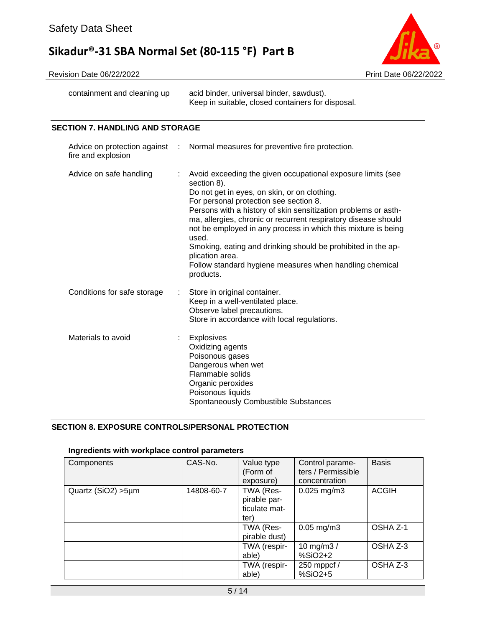

Revision Date 06/22/2022 Print Date 06/22/2022

containment and cleaning up acid binder, universal binder, sawdust). Keep in suitable, closed containers for disposal.

### **SECTION 7. HANDLING AND STORAGE**

| fire and explosion          | Advice on protection against : Normal measures for preventive fire protection.                                                                                                                                                                                                                                                                                                                                                                                                                                                                |
|-----------------------------|-----------------------------------------------------------------------------------------------------------------------------------------------------------------------------------------------------------------------------------------------------------------------------------------------------------------------------------------------------------------------------------------------------------------------------------------------------------------------------------------------------------------------------------------------|
| Advice on safe handling     | Avoid exceeding the given occupational exposure limits (see<br>section 8).<br>Do not get in eyes, on skin, or on clothing.<br>For personal protection see section 8.<br>Persons with a history of skin sensitization problems or asth-<br>ma, allergies, chronic or recurrent respiratory disease should<br>not be employed in any process in which this mixture is being<br>used.<br>Smoking, eating and drinking should be prohibited in the ap-<br>plication area.<br>Follow standard hygiene measures when handling chemical<br>products. |
| Conditions for safe storage | Store in original container.<br>Keep in a well-ventilated place.<br>Observe label precautions.<br>Store in accordance with local regulations.                                                                                                                                                                                                                                                                                                                                                                                                 |
| Materials to avoid          | <b>Explosives</b><br>Oxidizing agents<br>Poisonous gases<br>Dangerous when wet<br>Flammable solids<br>Organic peroxides<br>Poisonous liquids<br>Spontaneously Combustible Substances                                                                                                                                                                                                                                                                                                                                                          |

#### **SECTION 8. EXPOSURE CONTROLS/PERSONAL PROTECTION**

#### **Ingredients with workplace control parameters**

| Components          | CAS-No.    | Value type<br>(Form of<br>exposure)                | Control parame-<br>ters / Permissible<br>concentration | <b>Basis</b> |
|---------------------|------------|----------------------------------------------------|--------------------------------------------------------|--------------|
| Quartz (SiO2) > 5µm | 14808-60-7 | TWA (Res-<br>pirable par-<br>ticulate mat-<br>ter) | $0.025$ mg/m3                                          | <b>ACGIH</b> |
|                     |            | TWA (Res-<br>pirable dust)                         | $0.05$ mg/m $3$                                        | OSHA Z-1     |
|                     |            | TWA (respir-<br>able)                              | 10 mg/m $3/$<br>$%SiO2+2$                              | OSHA Z-3     |
|                     |            | TWA (respir-<br>able)                              | 250 mppcf /<br>%SiO2+5                                 | OSHA Z-3     |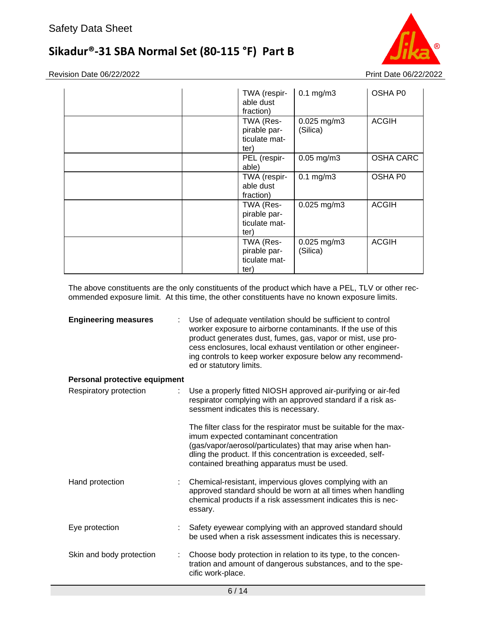

Revision Date 06/22/2022 Print Date 06/22/2022

| TWA (respir-<br>able dust<br>fraction)             | $0.1$ mg/m $3$            | OSHA P0          |
|----------------------------------------------------|---------------------------|------------------|
| TWA (Res-<br>pirable par-<br>ticulate mat-<br>ter) | $0.025$ mg/m3<br>(Silica) | <b>ACGIH</b>     |
| PEL (respir-<br>able)                              | $0.05$ mg/m $3$           | <b>OSHA CARC</b> |
| TWA (respir-<br>able dust<br>fraction)             | $0.1$ mg/m $3$            | OSHA P0          |
| TWA (Res-<br>pirable par-<br>ticulate mat-<br>ter) | $0.025$ mg/m3             | <b>ACGIH</b>     |
| TWA (Res-<br>pirable par-<br>ticulate mat-<br>ter) | $0.025$ mg/m3<br>(Silica) | <b>ACGIH</b>     |

The above constituents are the only constituents of the product which have a PEL, TLV or other recommended exposure limit. At this time, the other constituents have no known exposure limits.

| <b>Engineering measures</b>   | Use of adequate ventilation should be sufficient to control<br>worker exposure to airborne contaminants. If the use of this<br>product generates dust, fumes, gas, vapor or mist, use pro-<br>cess enclosures, local exhaust ventilation or other engineer-<br>ing controls to keep worker exposure below any recommend-<br>ed or statutory limits. |
|-------------------------------|-----------------------------------------------------------------------------------------------------------------------------------------------------------------------------------------------------------------------------------------------------------------------------------------------------------------------------------------------------|
| Personal protective equipment |                                                                                                                                                                                                                                                                                                                                                     |
| Respiratory protection        | Use a properly fitted NIOSH approved air-purifying or air-fed<br>respirator complying with an approved standard if a risk as-<br>sessment indicates this is necessary.                                                                                                                                                                              |
|                               | The filter class for the respirator must be suitable for the max-<br>imum expected contaminant concentration<br>(gas/vapor/aerosol/particulates) that may arise when han-<br>dling the product. If this concentration is exceeded, self-<br>contained breathing apparatus must be used.                                                             |
| Hand protection               | Chemical-resistant, impervious gloves complying with an<br>approved standard should be worn at all times when handling<br>chemical products if a risk assessment indicates this is nec-<br>essary.                                                                                                                                                  |
| Eye protection                | Safety eyewear complying with an approved standard should<br>be used when a risk assessment indicates this is necessary.                                                                                                                                                                                                                            |
| Skin and body protection      | Choose body protection in relation to its type, to the concen-<br>tration and amount of dangerous substances, and to the spe-<br>cific work-place.                                                                                                                                                                                                  |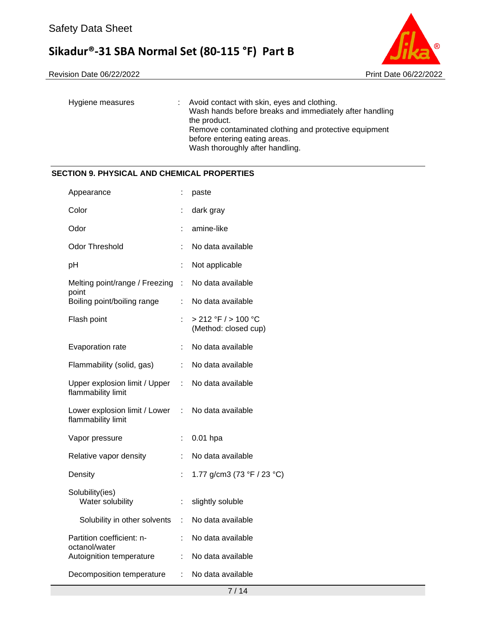Revision Date 06/22/2022 Print Date 06/22/2022



| Hygiene measures | : Avoid contact with skin, eyes and clothing.<br>Wash hands before breaks and immediately after handling<br>the product. |
|------------------|--------------------------------------------------------------------------------------------------------------------------|
|                  | Remove contaminated clothing and protective equipment                                                                    |
|                  | before entering eating areas.                                                                                            |
|                  | Wash thoroughly after handling.                                                                                          |

#### **SECTION 9. PHYSICAL AND CHEMICAL PROPERTIES**

| Appearance                                                              | t                            | paste                                       |
|-------------------------------------------------------------------------|------------------------------|---------------------------------------------|
| Color                                                                   | ÷                            | dark gray                                   |
| Odor                                                                    | t                            | amine-like                                  |
| Odor Threshold                                                          | t.                           | No data available                           |
| рH                                                                      | $\ddot{\cdot}$               | Not applicable                              |
| Melting point/range / Freezing :<br>point                               |                              | No data available                           |
| Boiling point/boiling range                                             | ÷                            | No data available                           |
| Flash point                                                             | ÷.                           | > 212 °F / > 100 °C<br>(Method: closed cup) |
| Evaporation rate                                                        | ÷                            | No data available                           |
| Flammability (solid, gas)                                               | $\mathcal{L}_{\mathrm{max}}$ | No data available                           |
| Upper explosion limit / Upper : No data available<br>flammability limit |                              |                                             |
| Lower explosion limit / Lower<br>flammability limit                     |                              | : No data available                         |
| Vapor pressure                                                          | t,                           | $0.01$ hpa                                  |
| Relative vapor density                                                  | ÷                            | No data available                           |
| Density                                                                 | t.                           | 1.77 g/cm3 (73 °F / 23 °C)                  |
| Solubility(ies)<br>Water solubility                                     | ÷                            | slightly soluble                            |
| Solubility in other solvents                                            | ÷.                           | No data available                           |
| Partition coefficient: n-<br>octanol/water                              | ÷                            | No data available                           |
| Autoignition temperature                                                | ÷                            | No data available                           |
| Decomposition temperature                                               | ÷.                           | No data available                           |
|                                                                         |                              |                                             |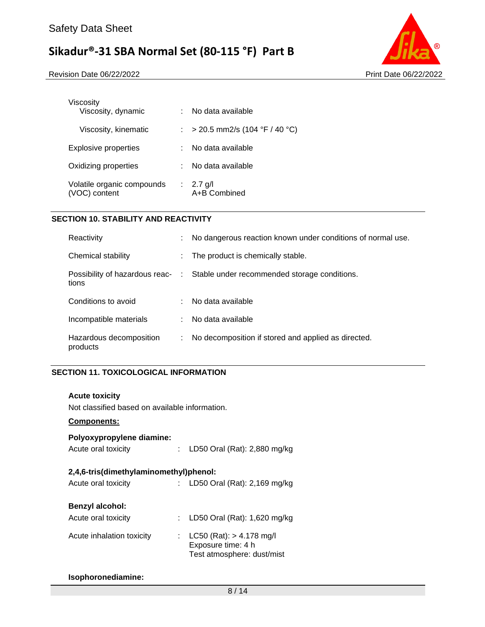Revision Date 06/22/2022 Print Date 06/22/2022



| Viscosity<br>Viscosity, dynamic             |                           | No data available             |
|---------------------------------------------|---------------------------|-------------------------------|
|                                             |                           |                               |
| Viscosity, kinematic                        |                           | > 20.5 mm2/s (104 °F / 40 °C) |
| Explosive properties                        |                           | No data available             |
| Oxidizing properties                        |                           | No data available             |
| Volatile organic compounds<br>(VOC) content | $\mathbb{Z}^{\mathbb{Z}}$ | $2.7$ g/l<br>A+B Combined     |

### **SECTION 10. STABILITY AND REACTIVITY**

| Reactivity                          |    | No dangerous reaction known under conditions of normal use.                   |
|-------------------------------------|----|-------------------------------------------------------------------------------|
| Chemical stability                  | ÷. | The product is chemically stable.                                             |
| tions                               |    | Possibility of hazardous reac- : Stable under recommended storage conditions. |
| Conditions to avoid                 |    | No data available                                                             |
| Incompatible materials              |    | : No data available                                                           |
| Hazardous decomposition<br>products |    | No decomposition if stored and applied as directed.                           |

#### **SECTION 11. TOXICOLOGICAL INFORMATION**

#### **Acute toxicity**

Not classified based on available information.

#### **Components:**

## **Polyoxypropylene diamine:**

| Acute oral toxicity | LD50 Oral (Rat): 2,880 mg/kg |  |
|---------------------|------------------------------|--|
|---------------------|------------------------------|--|

#### **2,4,6-tris(dimethylaminomethyl)phenol:**

| Acute oral toxicity       | : LD50 Oral (Rat): $2,169$ mg/kg                                                 |
|---------------------------|----------------------------------------------------------------------------------|
| Benzyl alcohol:           |                                                                                  |
| Acute oral toxicity       | : LD50 Oral (Rat): 1,620 mg/kg                                                   |
| Acute inhalation toxicity | : LC50 (Rat): $> 4.178$ mg/l<br>Exposure time: 4 h<br>Test atmosphere: dust/mist |

#### **Isophoronediamine:**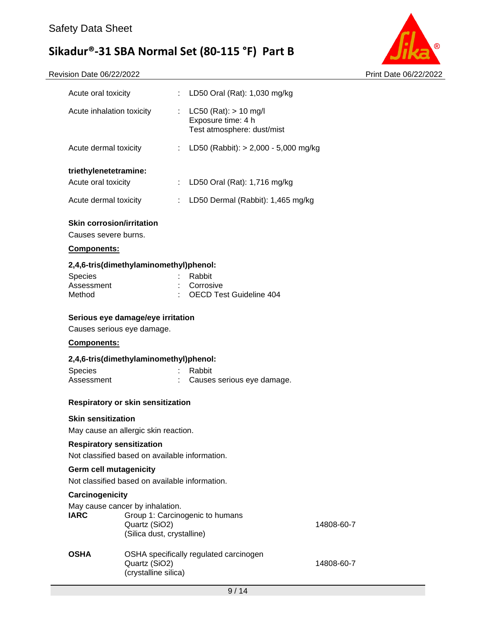Revision Date 06/22/2022 Print Date 06/22/2022



| Acute oral toxicity       |    | : LD50 Oral (Rat): 1,030 mg/kg                                                |
|---------------------------|----|-------------------------------------------------------------------------------|
| Acute inhalation toxicity | t. | $LC50$ (Rat): $> 10$ mg/l<br>Exposure time: 4 h<br>Test atmosphere: dust/mist |
| Acute dermal toxicity     | ÷  | LD50 (Rabbit): $> 2,000 - 5,000$ mg/kg                                        |
| triethylenetetramine:     |    |                                                                               |
| Acute oral toxicity       | t. | LD50 Oral (Rat): 1,716 mg/kg                                                  |
| Acute dermal toxicity     | ÷  | LD50 Dermal (Rabbit): 1,465 mg/kg                                             |
|                           |    |                                                                               |

#### **Skin corrosion/irritation**

Causes severe burns.

#### **Components:**

#### **2,4,6-tris(dimethylaminomethyl)phenol:**

| <b>Species</b> | : Rabbit                  |
|----------------|---------------------------|
| Assessment     | : Corrosive               |
| Method         | : OECD Test Guideline 404 |

#### **Serious eye damage/eye irritation**

Causes serious eye damage.

#### **Components:**

#### **2,4,6-tris(dimethylaminomethyl)phenol:**

| Species    | : Rabbit                     |
|------------|------------------------------|
| Assessment | : Causes serious eye damage. |

#### **Respiratory or skin sensitization**

#### **Skin sensitization**

May cause an allergic skin reaction.

#### **Respiratory sensitization**

Not classified based on available information.

#### **Germ cell mutagenicity**

Not classified based on available information.

#### **Carcinogenicity**

| <b>IARC</b> | May cause cancer by inhalation.<br>Group 1: Carcinogenic to humans<br>Quartz (SiO2)<br>(Silica dust, crystalline) | 14808-60-7 |
|-------------|-------------------------------------------------------------------------------------------------------------------|------------|
| <b>OSHA</b> | OSHA specifically regulated carcinogen<br>Quartz (SiO2)<br>(crystalline silica)                                   | 14808-60-7 |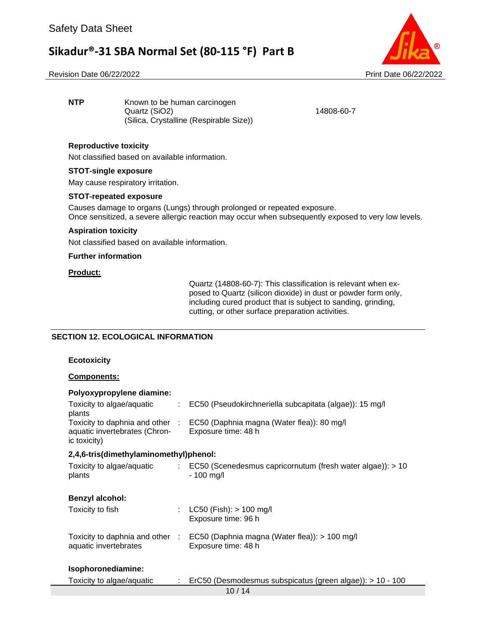#### Revision Date 06/22/2022 Print Date 06/22/2022

**NTP** Known to be human carcinogen Quartz (SiO2) 14808-60-7 (Silica, Crystalline (Respirable Size))

#### **Reproductive toxicity**

Not classified based on available information.

#### **STOT-single exposure**

May cause respiratory irritation.

#### **STOT-repeated exposure**

Causes damage to organs (Lungs) through prolonged or repeated exposure. Once sensitized, a severe allergic reaction may occur when subsequently exposed to very low levels.

#### **Aspiration toxicity**

Not classified based on available information.

#### **Further information**

#### **Product:**

Quartz (14808-60-7): This classification is relevant when exposed to Quartz (silicon dioxide) in dust or powder form only, including cured product that is subject to sanding, grinding, cutting, or other surface preparation activities.

#### **SECTION 12. ECOLOGICAL INFORMATION**

#### **Ecotoxicity**

#### **Components:**

| Polyoxypropylene diamine:                                                        |   |                                                                             |
|----------------------------------------------------------------------------------|---|-----------------------------------------------------------------------------|
| Toxicity to algae/aquatic<br>plants                                              | ÷ | EC50 (Pseudokirchneriella subcapitata (algae)): 15 mg/l                     |
| Toxicity to daphnia and other :<br>aquatic invertebrates (Chron-<br>ic toxicity) |   | EC50 (Daphnia magna (Water flea)): 80 mg/l<br>Exposure time: 48 h           |
| 2,4,6-tris(dimethylaminomethyl)phenol:                                           |   |                                                                             |
| Toxicity to algae/aquatic<br>plants                                              |   | : EC50 (Scenedesmus capricornutum (fresh water algae)): > 10<br>$-100$ mg/l |
| <b>Benzyl alcohol:</b>                                                           |   |                                                                             |
| Toxicity to fish                                                                 |   | $LC50$ (Fish): $> 100$ mg/l<br>Exposure time: 96 h                          |
| Toxicity to daphnia and other :<br>aquatic invertebrates                         |   | EC50 (Daphnia magna (Water flea)): > 100 mg/l<br>Exposure time: 48 h        |
| Isophoronediamine:                                                               |   |                                                                             |
| Toxicity to algae/aquatic                                                        |   | ErC50 (Desmodesmus subspicatus (green algae)): > 10 - 100                   |
|                                                                                  |   | 10/14                                                                       |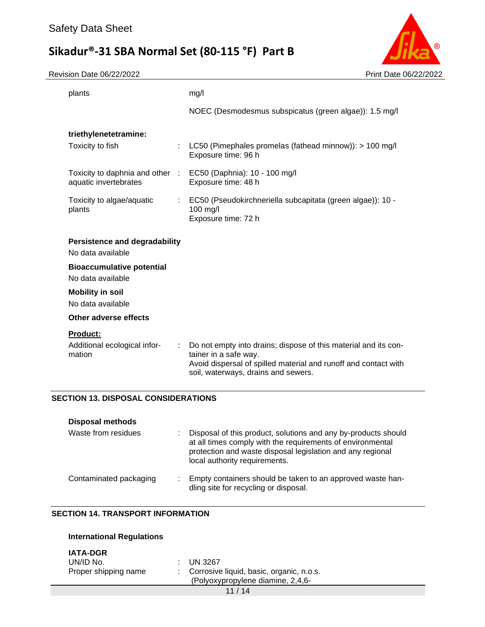Revision Date 06/22/2022 Print Date 06/22/2022



|                                                           | NOEC (Desmodesmus subspicatus (green algae)): 1.5 mg/l                                                                                                      |
|-----------------------------------------------------------|-------------------------------------------------------------------------------------------------------------------------------------------------------------|
| triethylenetetramine:                                     |                                                                                                                                                             |
| Toxicity to fish                                          | LC50 (Pimephales promelas (fathead minnow)): > 100 mg/l<br>Exposure time: 96 h                                                                              |
| Toxicity to daphnia and other :<br>aquatic invertebrates  | EC50 (Daphnia): 10 - 100 mg/l<br>Exposure time: 48 h                                                                                                        |
| Toxicity to algae/aquatic<br>plants                       | EC50 (Pseudokirchneriella subcapitata (green algae)): 10 -<br>100 mg/l<br>Exposure time: 72 h                                                               |
| <b>Persistence and degradability</b><br>No data available |                                                                                                                                                             |
| <b>Bioaccumulative potential</b><br>No data available     |                                                                                                                                                             |
| <b>Mobility in soil</b><br>No data available              |                                                                                                                                                             |
| Other adverse effects                                     |                                                                                                                                                             |
| <b>Product:</b>                                           |                                                                                                                                                             |
| Additional ecological infor-<br>mation                    | Do not empty into drains; dispose of this material and its con-<br>tainer in a safe way.<br>Avoid dispersal of spilled material and runoff and contact with |
|                                                           | soil, waterways, drains and sewers.                                                                                                                         |

| PISPOSAI IIIGUIUUS     |                                                                                                                                                                                                                             |
|------------------------|-----------------------------------------------------------------------------------------------------------------------------------------------------------------------------------------------------------------------------|
| Waste from residues    | Disposal of this product, solutions and any by-products should<br>at all times comply with the requirements of environmental<br>protection and waste disposal legislation and any regional<br>local authority requirements. |
| Contaminated packaging | Empty containers should be taken to an approved waste han-<br>dling site for recycling or disposal.                                                                                                                         |

### **SECTION 14. TRANSPORT INFORMATION**

| <b>International Regulations</b>                     |                                                                                                      |
|------------------------------------------------------|------------------------------------------------------------------------------------------------------|
| <b>IATA-DGR</b><br>UN/ID No.<br>Proper shipping name | UN 3267<br>٠.<br>Corrosive liquid, basic, organic, n.o.s.<br>t.<br>(Polyoxypropylene diamine, 2,4,6- |
|                                                      | 11/14                                                                                                |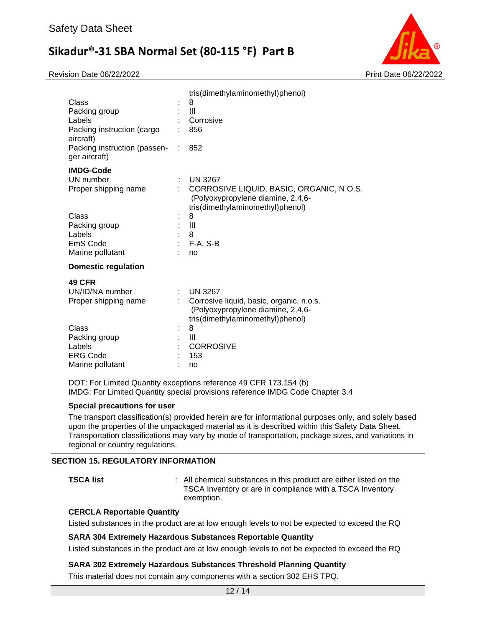Revision Date 06/22/2022 Print Date 06/22/2022



| Class<br>Packing group<br>Labels              |    | tris(dimethylaminomethyl)phenol)<br>8<br>III<br>Corrosive                                                         |
|-----------------------------------------------|----|-------------------------------------------------------------------------------------------------------------------|
| Packing instruction (cargo<br>aircraft)       |    | 856                                                                                                               |
| Packing instruction (passen-<br>ger aircraft) | ÷. | 852                                                                                                               |
| <b>IMDG-Code</b>                              |    |                                                                                                                   |
| UN number                                     |    | <b>UN 3267</b>                                                                                                    |
| Proper shipping name                          |    | CORROSIVE LIQUID, BASIC, ORGANIC, N.O.S.<br>(Polyoxypropylene diamine, 2,4,6-<br>tris(dimethylaminomethyl)phenol) |
| Class                                         |    | 8                                                                                                                 |
| Packing group                                 |    | $\mathbf{III}$                                                                                                    |
| Labels                                        |    | 8                                                                                                                 |
| EmS Code                                      | ÷  | $F-A, S-B$                                                                                                        |
| Marine pollutant                              |    | no                                                                                                                |
| <b>Domestic regulation</b>                    |    |                                                                                                                   |
| <b>49 CFR</b>                                 |    |                                                                                                                   |
| UN/ID/NA number                               | ÷. | <b>UN 3267</b>                                                                                                    |
| Proper shipping name                          |    | Corrosive liquid, basic, organic, n.o.s.<br>(Polyoxypropylene diamine, 2,4,6-<br>tris(dimethylaminomethyl)phenol) |
| Class                                         |    | 8                                                                                                                 |
| Packing group                                 |    | $\mathbf{III}$                                                                                                    |
| Labels                                        |    | <b>CORROSIVE</b>                                                                                                  |
| <b>ERG Code</b>                               |    | 153                                                                                                               |
| Marine pollutant                              |    | no                                                                                                                |

DOT: For Limited Quantity exceptions reference 49 CFR 173.154 (b) IMDG: For Limited Quantity special provisions reference IMDG Code Chapter 3.4

#### **Special precautions for user**

The transport classification(s) provided herein are for informational purposes only, and solely based upon the properties of the unpackaged material as it is described within this Safety Data Sheet. Transportation classifications may vary by mode of transportation, package sizes, and variations in regional or country regulations.

#### **SECTION 15. REGULATORY INFORMATION**

**TSCA list EXECA list 1 COLLEGATA** : All chemical substances in this product are either listed on the TSCA Inventory or are in compliance with a TSCA Inventory exemption.

#### **CERCLA Reportable Quantity**

Listed substances in the product are at low enough levels to not be expected to exceed the RQ

#### **SARA 304 Extremely Hazardous Substances Reportable Quantity**

Listed substances in the product are at low enough levels to not be expected to exceed the RQ

#### **SARA 302 Extremely Hazardous Substances Threshold Planning Quantity**

This material does not contain any components with a section 302 EHS TPQ.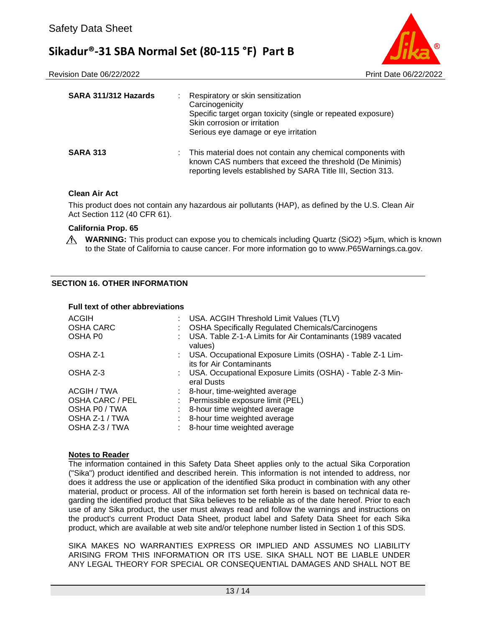Revision Date 06/22/2022 Print Date 06/22/2022



| SARA 311/312 Hazards | ÷ | Respiratory or skin sensitization<br>Carcinogenicity<br>Specific target organ toxicity (single or repeated exposure)<br>Skin corrosion or irritation<br>Serious eye damage or eye irritation |
|----------------------|---|----------------------------------------------------------------------------------------------------------------------------------------------------------------------------------------------|
| <b>SARA 313</b>      |   | This material does not contain any chemical components with<br>known CAS numbers that exceed the threshold (De Minimis)<br>reporting levels established by SARA Title III, Section 313.      |

#### **Clean Air Act**

This product does not contain any hazardous air pollutants (HAP), as defined by the U.S. Clean Air Act Section 112 (40 CFR 61).

#### **California Prop. 65**

∧ **WARNING:** This product can expose you to chemicals including Quartz (SiO2) >5µm, which is known to the State of California to cause cancer. For more information go to www.P65Warnings.ca.gov.

#### **SECTION 16. OTHER INFORMATION**

#### **Full text of other abbreviations**

| ACGIH<br><b>OSHA CARC</b> |                            | USA. ACGIH Threshold Limit Values (TLV)<br><b>OSHA Specifically Regulated Chemicals/Carcinogens</b> |
|---------------------------|----------------------------|-----------------------------------------------------------------------------------------------------|
| OSHA P0                   |                            | USA. Table Z-1-A Limits for Air Contaminants (1989 vacated<br>values)                               |
| OSHA Z-1                  |                            | : USA. Occupational Exposure Limits (OSHA) - Table Z-1 Lim-<br>its for Air Contaminants             |
| OSHA Z-3                  |                            | USA. Occupational Exposure Limits (OSHA) - Table Z-3 Min-<br>eral Dusts                             |
| ACGIH / TWA               |                            | : 8-hour, time-weighted average                                                                     |
| OSHA CARC / PEL           | $\mathcal{L}^{\text{max}}$ | Permissible exposure limit (PEL)                                                                    |
| OSHA P0 / TWA             |                            | 8-hour time weighted average                                                                        |
| OSHA Z-1 / TWA            |                            | 8-hour time weighted average                                                                        |
| OSHA Z-3 / TWA            |                            | 8-hour time weighted average                                                                        |

#### **Notes to Reader**

The information contained in this Safety Data Sheet applies only to the actual Sika Corporation ("Sika") product identified and described herein. This information is not intended to address, nor does it address the use or application of the identified Sika product in combination with any other material, product or process. All of the information set forth herein is based on technical data regarding the identified product that Sika believes to be reliable as of the date hereof. Prior to each use of any Sika product, the user must always read and follow the warnings and instructions on the product's current Product Data Sheet, product label and Safety Data Sheet for each Sika product, which are available at web site and/or telephone number listed in Section 1 of this SDS.

SIKA MAKES NO WARRANTIES EXPRESS OR IMPLIED AND ASSUMES NO LIABILITY ARISING FROM THIS INFORMATION OR ITS USE. SIKA SHALL NOT BE LIABLE UNDER ANY LEGAL THEORY FOR SPECIAL OR CONSEQUENTIAL DAMAGES AND SHALL NOT BE